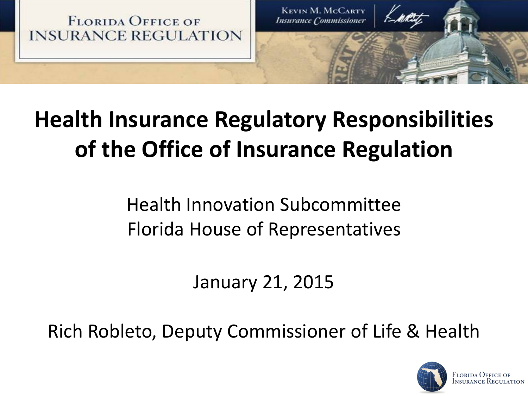

## **Health Insurance Regulatory Responsibilities of the Office of Insurance Regulation**

Health Innovation Subcommittee Florida House of Representatives

January 21, 2015

Rich Robleto, Deputy Commissioner of Life & Health

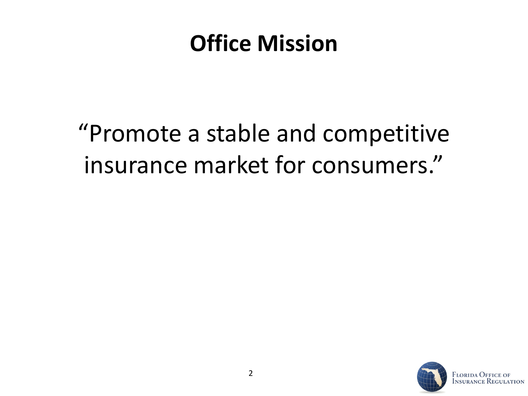### **Office Mission**

### "Promote a stable and competitive insurance market for consumers."

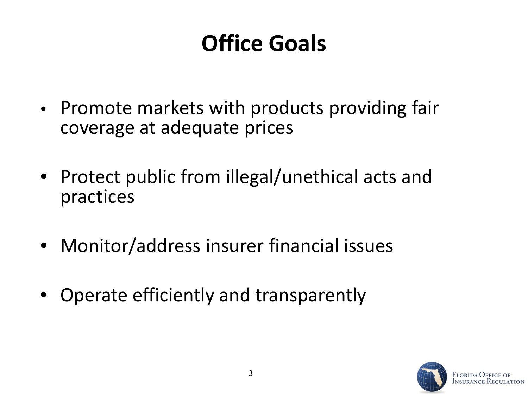### **Office Goals**

- Promote markets with products providing fair coverage at adequate prices
- Protect public from illegal/unethical acts and practices
- Monitor/address insurer financial issues
- Operate efficiently and transparently

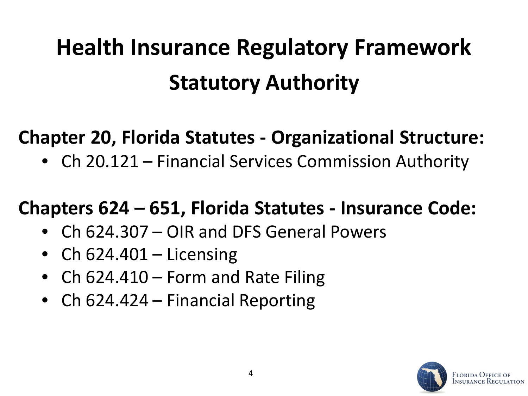# **Statutory Authority Health Insurance Regulatory Framework**

#### **Chapter 20, Florida Statutes - Organizational Structure:**

• Ch 20.121 – Financial Services Commission Authority

#### **Chapters 624 – 651, Florida Statutes - Insurance Code:**

- Ch 624.307 OIR and DFS General Powers
- Ch  $624.401 -$  Licensing
- Ch  $624.410 -$  Form and Rate Filing
- Ch 624.424 Financial Reporting

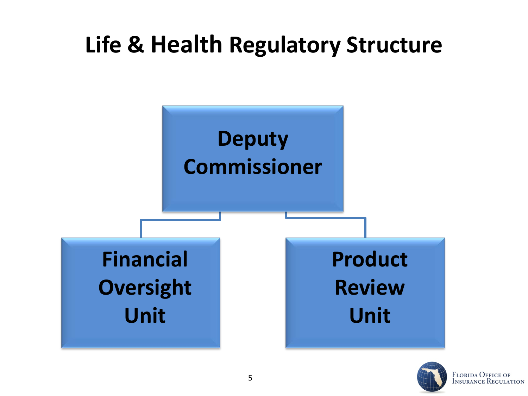### **Life & Health Regulatory Structure**



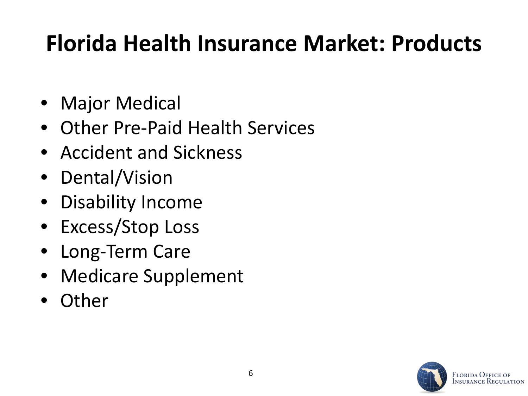### **Florida Health Insurance Market: Products**

- Major Medical
- Other Pre-Paid Health Services
- Accident and Sickness
- Dental/Vision
- Disability Income
- Excess/Stop Loss
- Long-Term Care
- Medicare Supplement
- Other

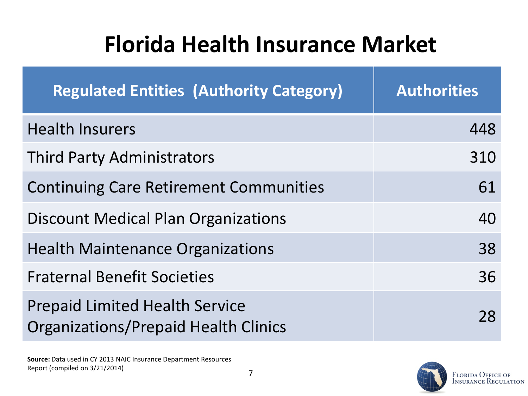| <b>Regulated Entities (Authority Category)</b>                                       | <b>Authorities</b> |
|--------------------------------------------------------------------------------------|--------------------|
| <b>Health Insurers</b>                                                               | 448                |
| <b>Third Party Administrators</b>                                                    | 310                |
| <b>Continuing Care Retirement Communities</b>                                        | 61                 |
| <b>Discount Medical Plan Organizations</b>                                           | 40                 |
| <b>Health Maintenance Organizations</b>                                              | 38                 |
| <b>Fraternal Benefit Societies</b>                                                   | 36                 |
| <b>Prepaid Limited Health Service</b><br><b>Organizations/Prepaid Health Clinics</b> | 28                 |

**Source:** Data used in CY 2013 NAIC Insurance Department Resources Report (compiled on 3/21/2014)

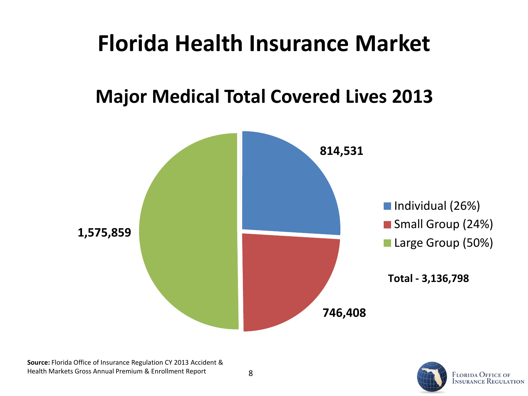#### **Major Medical Total Covered Lives 2013**



8

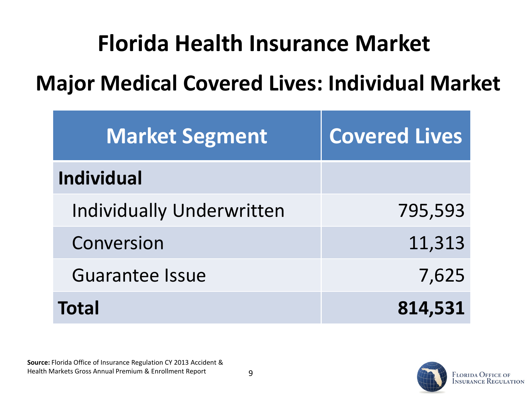### **Major Medical Covered Lives: Individual Market**

| <b>Market Segment</b>            | <b>Covered Lives</b> |
|----------------------------------|----------------------|
| <b>Individual</b>                |                      |
| <b>Individually Underwritten</b> | 795,593              |
| Conversion                       | 11,313               |
| <b>Guarantee Issue</b>           | 7,625                |
| <b>Total</b>                     | 814,531              |

**Source:** Florida Office of Insurance Regulation CY 2013 Accident & Health Markets Gross Annual Premium & Enrollment Report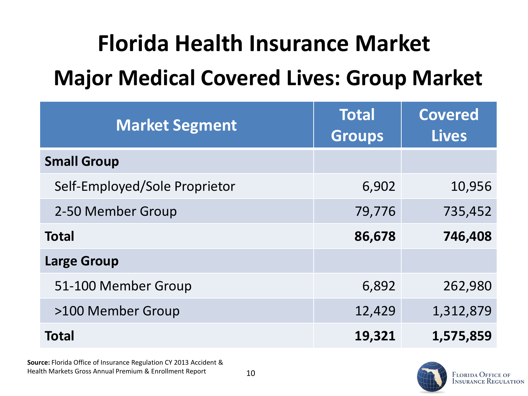### **Major Medical Covered Lives: Group Market**

| <b>Market Segment</b>         | <b>Total</b><br><b>Groups</b> | <b>Covered</b><br><b>Lives</b> |
|-------------------------------|-------------------------------|--------------------------------|
| <b>Small Group</b>            |                               |                                |
| Self-Employed/Sole Proprietor | 6,902                         | 10,956                         |
| 2-50 Member Group             | 79,776                        | 735,452                        |
| <b>Total</b>                  | 86,678                        | 746,408                        |
| <b>Large Group</b>            |                               |                                |
| 51-100 Member Group           | 6,892                         | 262,980                        |
| >100 Member Group             | 12,429                        | 1,312,879                      |
| <b>Total</b>                  | 19,321                        | 1,575,859                      |

**Source:** Florida Office of Insurance Regulation CY 2013 Accident & Health Markets Gross Annual Premium & Enrollment Report

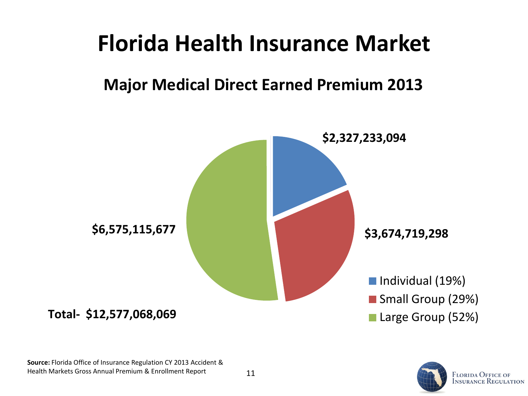#### **Major Medical Direct Earned Premium 2013**



**Source:** Florida Office of Insurance Regulation CY 2013 Accident & Health Markets Gross Annual Premium & Enrollment Report

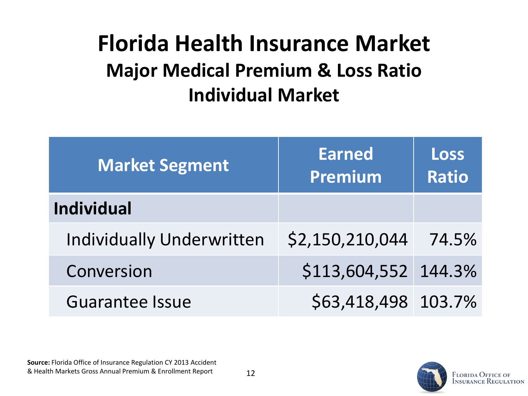### **Florida Health Insurance Market Major Medical Premium & Loss Ratio Individual Market**

| <b>Market Segment</b>            | <b>Earned</b><br>Premium | Loss<br><b>Ratio</b> |
|----------------------------------|--------------------------|----------------------|
| <b>Individual</b>                |                          |                      |
| <b>Individually Underwritten</b> | \$2,150,210,044          | 74.5%                |
| Conversion                       | \$113,604,552 144.3%     |                      |
| <b>Guarantee Issue</b>           | \$63,418,498 103.7%      |                      |

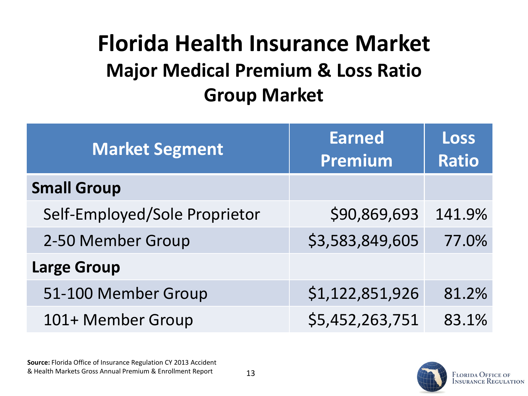### **Group Market Florida Health Insurance Market Major Medical Premium & Loss Ratio**

| <b>Market Segment</b>         | <b>Earned</b><br>Premium | <b>Loss</b><br><b>Ratio</b> |
|-------------------------------|--------------------------|-----------------------------|
| <b>Small Group</b>            |                          |                             |
| Self-Employed/Sole Proprietor | \$90,869,693             | 141.9%                      |
| 2-50 Member Group             | \$3,583,849,605          | 77.0%                       |
| <b>Large Group</b>            |                          |                             |
| 51-100 Member Group           | \$1,122,851,926          | 81.2%                       |
| 101+ Member Group             | \$5,452,263,751          | 83.1%                       |

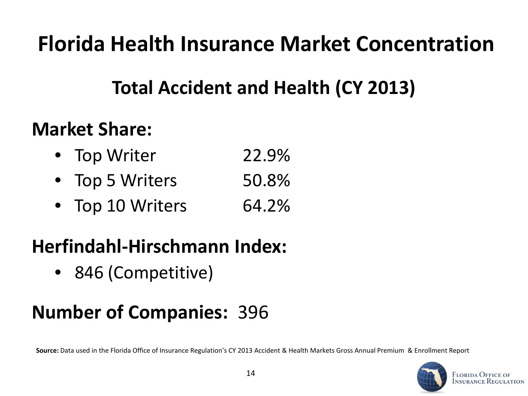**Florida Health Insurance Market Concentration**

#### **Total Accident and Health (CY 2013)**

#### **Market Share:**

- Top Writer 22.9%
- Top 5 Writers 50.8%
- Top 10 Writers 64.2%

#### **Herfindahl-Hirschmann Index:**

• 846 (Competitive)

#### **Number of Companies:** 396

**Source:** Data used in the Florida Office of Insurance Regulation's CY 2013 Accident & Health Markets Gross Annual Premium & Enrollment Report

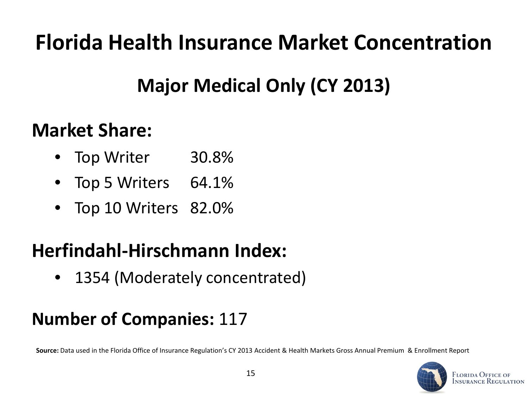### **Florida Health Insurance Market Concentration**

### **Major Medical Only (CY 2013)**

#### **Market Share:**

- Top Writer 30.8%
- Top 5 Writers 64.1%
- Top 10 Writers 82.0%

#### **Herfindahl-Hirschmann Index:**

• 1354 (Moderately concentrated)

#### **Number of Companies:** 117

**Source:** Data used in the Florida Office of Insurance Regulation's CY 2013 Accident & Health Markets Gross Annual Premium & Enrollment Report

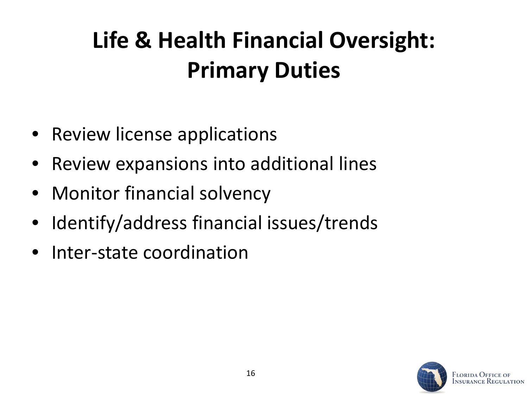## **Life & Health Financial Oversight: Primary Duties**

- Review license applications
- Review expansions into additional lines
- Monitor financial solvency
- Identify/address financial issues/trends
- Inter-state coordination

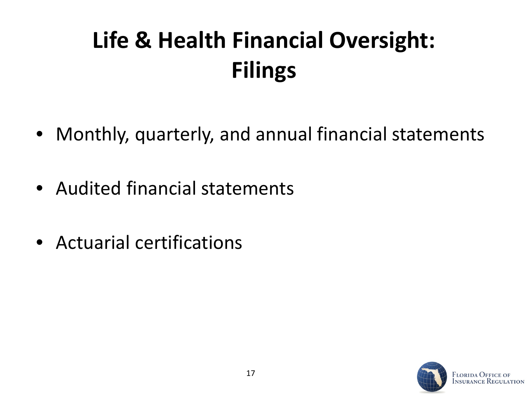## **Life & Health Financial Oversight: Filings**

- Monthly, quarterly, and annual financial statements
- Audited financial statements
- Actuarial certifications

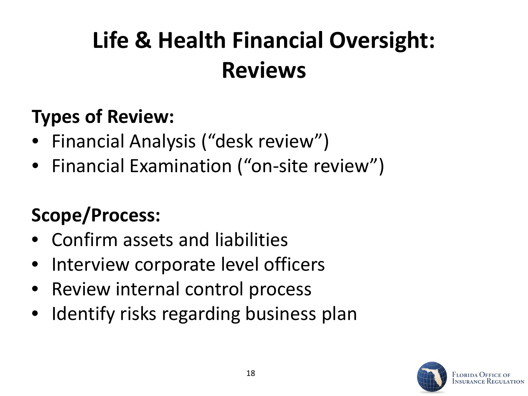## **Life & Health Financial Oversight: Reviews**

### **Types of Review:**

- Financial Analysis ("desk review")
- Financial Examination ("on-site review")

### **Scope/Process:**

- Confirm assets and liabilities
- Interview corporate level officers
- Review internal control process
- Identify risks regarding business plan

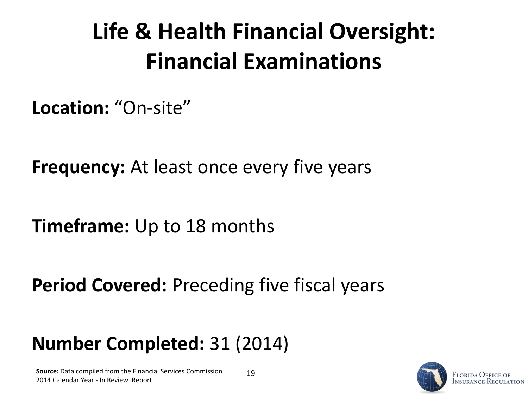## **Life & Health Financial Oversight: Financial Examinations**

**Location:** "On-site"

**Frequency:** At least once every five years

**Timeframe:** Up to 18 months

**Period Covered:** Preceding five fiscal years

#### **Number Completed:** 31 (2014)

**Source:** Data compiled from the Financial Services Commission 2014 Calendar Year - In Review Report

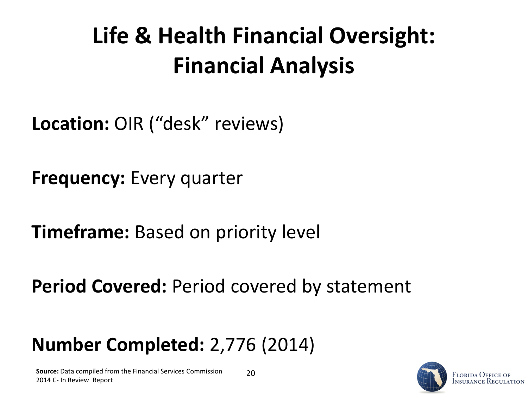## **Life & Health Financial Oversight: Financial Analysis**

**Location:** OIR ("desk" reviews)

**Frequency:** Every quarter

**Timeframe:** Based on priority level

**Period Covered:** Period covered by statement

#### **Number Completed:** 2,776 (2014)

**Source:** Data compiled from the Financial Services Commission 2014 C- In Review Report

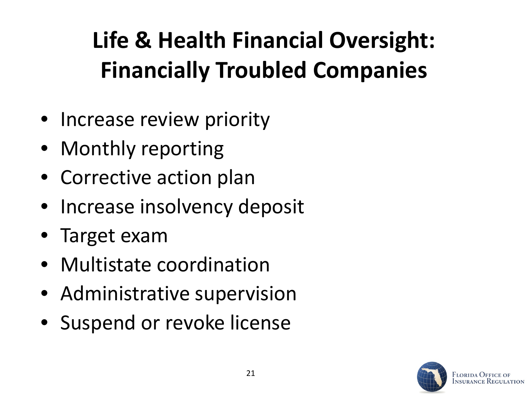## **Life & Health Financial Oversight: Financially Troubled Companies**

- Increase review priority
- Monthly reporting
- Corrective action plan
- Increase insolvency deposit
- Target exam
- Multistate coordination
- Administrative supervision
- Suspend or revoke license

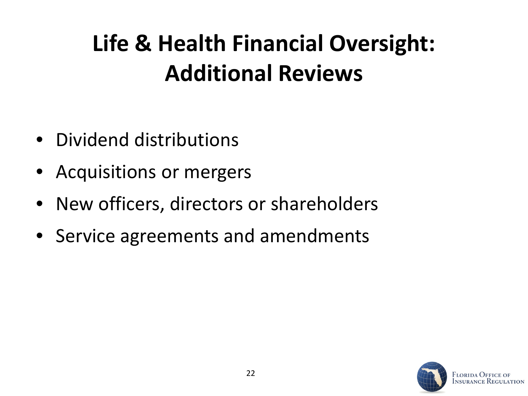## **Life & Health Financial Oversight: Additional Reviews**

- Dividend distributions
- Acquisitions or mergers
- New officers, directors or shareholders
- Service agreements and amendments

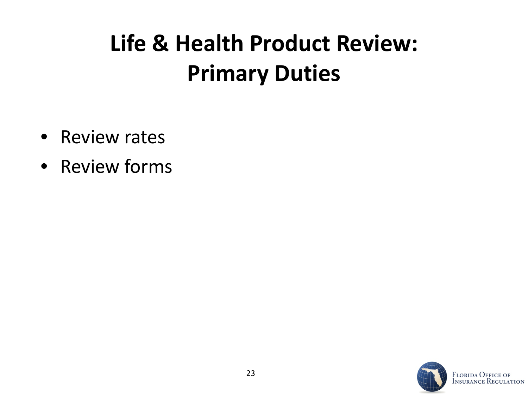### **Life & Health Product Review: Primary Duties**

- Review rates
- Review forms



**ATION**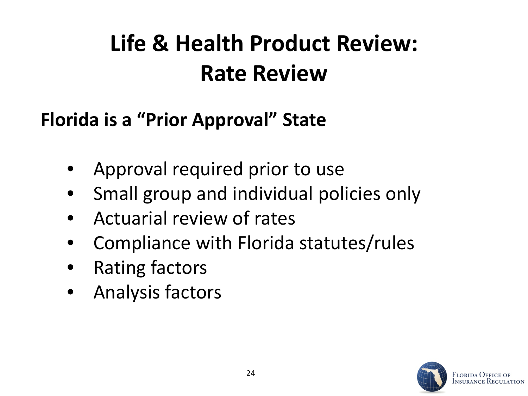## **Life & Health Product Review: Rate Review**

#### **Florida is a "Prior Approval" State**

- Approval required prior to use
- Small group and individual policies only
- Actuarial review of rates
- Compliance with Florida statutes/rules
- Rating factors
- Analysis factors

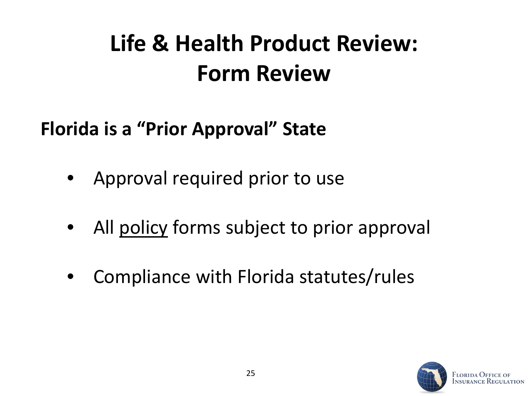## **Life & Health Product Review: Form Review**

#### **Florida is a "Prior Approval" State**

- Approval required prior to use
- All policy forms subject to prior approval
- Compliance with Florida statutes/rules

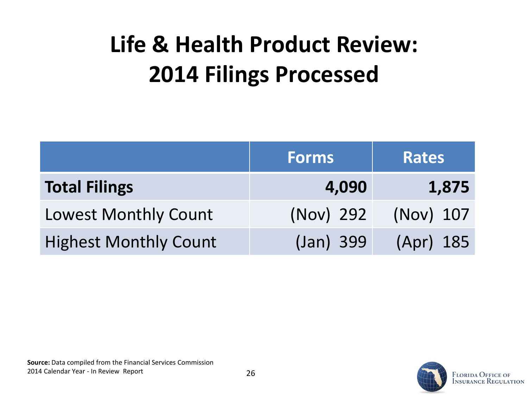## **Life & Health Product Review: 2014 Filings Processed**

|                              | <b>Forms</b> | <b>Rates</b> |
|------------------------------|--------------|--------------|
| <b>Total Filings</b>         | 4,090        | 1,875        |
| <b>Lowest Monthly Count</b>  | (Nov) 292    | (Nov) 107    |
| <b>Highest Monthly Count</b> | (Jan) 399    | (Apr) 185    |